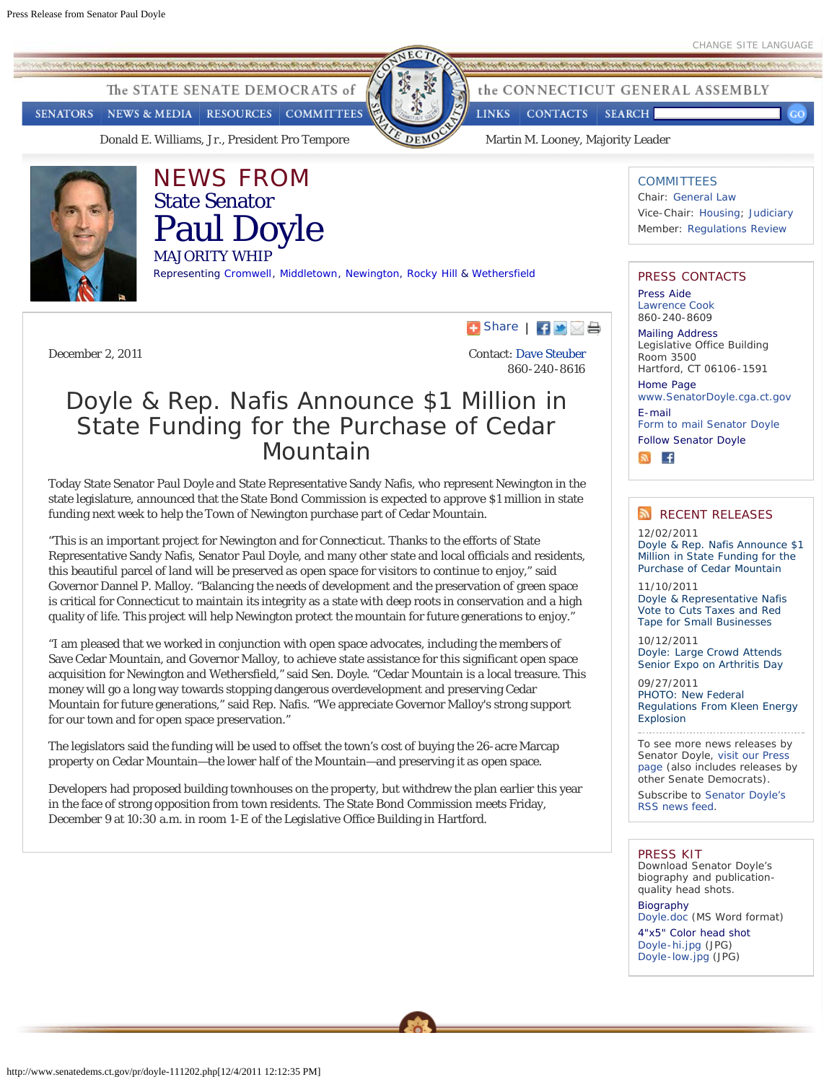<span id="page-0-0"></span>The STATE SENATE DEMOCRATS of

**SENATORS** NEWS & MEDIA RESOURCES **COMMITTEES** 

[Donald E. Williams, Jr., President Pro Tempore](http://www.senatedems.ct.gov/Williams.php) [Martin M. Looney, Majority Leader](http://www.senatedems.ct.gov/Looney.php)



# NEWS FROM State Senator Paul Doyle

MAJORITY WHIP

Representing [Cr](http://www.cromwellct.com/)omwell, [Middletown,](http://www.cityofmiddletown.com/) [Newington](http://www.newingtonct.gov/), [Rocky Hill](http://www.ci.rocky-hill.ct.us/) & [Wethersfield](http://www.wethersfieldct.com/)



 $\Box$  [Share](http://www.addthis.com/bookmark.php?v=250&username=ctsenatedems)  $\Box$   $\Box$ 

**LINKS** 

**CONTACTS** 

Contact: [Dave Steuber](mailto:dave.steuber@cga.ct.gov) 860-240-8616

## Doyle & Rep. Nafis Announce \$1 Million in State Funding for the Purchase of Cedar Mountain

Today State Senator Paul Doyle and State Representative Sandy Nafis, who represent Newington in the state legislature, announced that the State Bond Commission is expected to approve \$1 million in state funding next week to help the Town of Newington purchase part of Cedar Mountain.

"This is an important project for Newington and for Connecticut. Thanks to the efforts of State Representative Sandy Nafis, Senator Paul Doyle, and many other state and local officials and residents, this beautiful parcel of land will be preserved as open space for visitors to continue to enjoy," said Governor Dannel P. Malloy. "Balancing the needs of development and the preservation of green space is critical for Connecticut to maintain its integrity as a state with deep roots in conservation and a high quality of life. This project will help Newington protect the mountain for future generations to enjoy."

"I am pleased that we worked in conjunction with open space advocates, including the members of Save Cedar Mountain, and Governor Malloy, to achieve state assistance for this significant open space acquisition for Newington and Wethersfield," said Sen. Doyle. "Cedar Mountain is a local treasure. This money will go a long way towards stopping dangerous overdevelopment and preserving Cedar Mountain for future generations," said Rep. Nafis. "We appreciate Governor Malloy's strong support for our town and for open space preservation."

The legislators said the funding will be used to offset the town's cost of buying the 26-acre Marcap property on Cedar Mountain—the lower half of the Mountain—and preserving it as open space.

Developers had proposed building townhouses on the property, but withdrew the plan earlier this year in the face of strong opposition from town residents. The State Bond Commission meets Friday, December 9 at 10:30 a.m. in room 1-E of the Legislative Office Building in Hartford.

## **COMMITTEES**

the CONNECTICUT GENERAL ASSEMBLY

**SEARCH** 

Chair: [General Law](http://www.senatedems.ct.gov/../Committees.php#GeneralLaw) Vice-Chair: [Housing;](http://www.senatedems.ct.gov/../Committees.php#Housing) [Judiciary](http://www.senatedems.ct.gov/../Committees.php#Judiciary) Member: [Regulations Review](http://www.senatedems.ct.gov/../Committees.php#RegsReview)

### PRESS CONTACTS

Press Aide [Lawrence Cook](mailto:Lawrence.Cook@cga.ct.gov) 860-240-8609

Mailing Address Legislative Office Building Room 3500 Hartford, CT 06106-1591

Home Page

[www.SenatorDoyle.cga.ct.gov](http://www.senatedems.ct.gov/Doyle.php) E-mail

[Form to mail Senator Doyle](http://www.senatedems.ct.gov/Doyle-mailform.php)

Follow Senator Doyle



## RECENT RELEASES

12/02/2011 [Doyle & Rep. Nafis Announce \\$1](#page-0-0) [Million in State Funding for the](#page-0-0) [Purchase of Cedar Mountain](#page-0-0)

11/10/2011 [Doyle & Representative Nafis](http://www.senatedems.ct.gov/pr/doyle-111110.php) [Vote to Cuts Taxes and Red](http://www.senatedems.ct.gov/pr/doyle-111110.php) [Tape for Small Businesses](http://www.senatedems.ct.gov/pr/doyle-111110.php)

10/12/2011 [Doyle: Large Crowd Attends](http://www.senatedems.ct.gov/pr/doyle-111012.php) [Senior Expo on Arthritis Day](http://www.senatedems.ct.gov/pr/doyle-111012.php)

09/27/2011 [PHOTO: New Federal](http://www.flickr.com/photos/ctsenatedems/6189518151/in/set-72157626684554258) [Regulations From Kleen Energy](http://www.flickr.com/photos/ctsenatedems/6189518151/in/set-72157626684554258) **[Explosion](http://www.flickr.com/photos/ctsenatedems/6189518151/in/set-72157626684554258)** 

To see more news releases by Senator Doyle, [visit our Press](http://www.senatedems.ct.gov/Press.php#Doyle) [page](http://www.senatedems.ct.gov/Press.php#Doyle) (also includes releases by other Senate Democrats).

Subscribe to [Senator Doyle's](http://www.senatedems.ct.gov/rss/doyle-news.xml) [RSS news feed](http://www.senatedems.ct.gov/rss/doyle-news.xml).

#### PRESS KIT

Download Senator Doyle's biography and publicationquality head shots.

Biography [Doyle.doc](http://www.senatedems.ct.gov/doc/Doyle.doc) (MS Word format) 4"x5" Color head shot [Doyle-hi.jpg](http://www.senatedems.ct.gov/photos/Doyle-hi.jpg) (JPG) [Doyle-low.jpg](http://www.senatedems.ct.gov/photos/Doyle-low.jpg) (JPG)

http://www.senatedems.ct.gov/pr/doyle-111202.php[12/4/2011 12:12:35 PM]